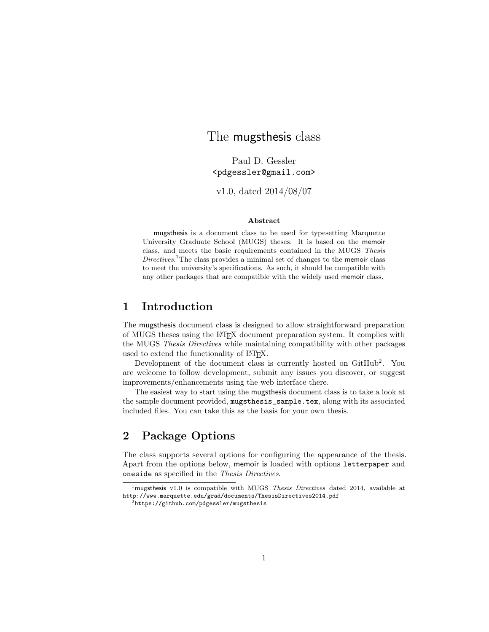# The mugsthesis class

Paul D. Gessler <pdgessler@gmail.com>

v1.0, dated 2014/08/07

#### Abstract

mugsthesis is a document class to be used for typesetting Marquette University Graduate School (MUGS) theses. It is based on the memoir class, and meets the basic requirements contained in the MUGS Thesis Directives. <sup>1</sup>The class provides a minimal set of changes to the memoir class to meet the university's specifications. As such, it should be compatible with any other packages that are compatible with the widely used memoir class.

## 1 Introduction

The mugsthesis document class is designed to allow straightforward preparation of MUGS theses using the LATEX document preparation system. It complies with the MUGS Thesis Directives while maintaining compatibility with other packages used to extend the functionality of LATEX.

Development of the document class is currently hosted on GitHub<sup>2</sup>. You are welcome to follow development, submit any issues you discover, or suggest improvements/enhancements using the web interface there.

The easiest way to start using the mugsthesis document class is to take a look at the sample document provided, mugsthesis\_sample.tex, along with its associated included files. You can take this as the basis for your own thesis.

# 2 Package Options

The class supports several options for configuring the appearance of the thesis. Apart from the options below, memoir is loaded with options letterpaper and oneside as specified in the Thesis Directives.

<sup>&</sup>lt;sup>1</sup>mugsthesis v1.0 is compatible with MUGS Thesis Directives dated 2014, available at http://www.marquette.edu/grad/documents/ThesisDirectives2014.pdf

<sup>2</sup>https://github.com/pdgessler/mugsthesis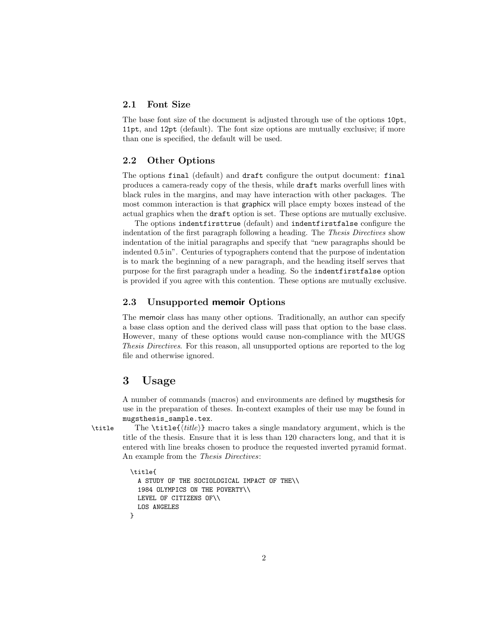#### 2.1 Font Size

The base font size of the document is adjusted through use of the options 10pt, 11pt, and 12pt (default). The font size options are mutually exclusive; if more than one is specified, the default will be used.

#### 2.2 Other Options

The options final (default) and draft configure the output document: final produces a camera-ready copy of the thesis, while draft marks overfull lines with black rules in the margins, and may have interaction with other packages. The most common interaction is that graphicx will place empty boxes instead of the actual graphics when the draft option is set. These options are mutually exclusive.

The options indentfirsttrue (default) and indentfirstfalse configure the indentation of the first paragraph following a heading. The Thesis Directives show indentation of the initial paragraphs and specify that "new paragraphs should be indented 0.5 in". Centuries of typographers contend that the purpose of indentation is to mark the beginning of a new paragraph, and the heading itself serves that purpose for the first paragraph under a heading. So the indentfirstfalse option is provided if you agree with this contention. These options are mutually exclusive.

#### 2.3 Unsupported memoir Options

The memoir class has many other options. Traditionally, an author can specify a base class option and the derived class will pass that option to the base class. However, many of these options would cause non-compliance with the MUGS Thesis Directives. For this reason, all unsupported options are reported to the log file and otherwise ignored.

## 3 Usage

A number of commands (macros) and environments are defined by mugsthesis for use in the preparation of theses. In-context examples of their use may be found in mugsthesis\_sample.tex.

\title The \title{ $\{title\}$ } macro takes a single mandatory argument, which is the title of the thesis. Ensure that it is less than 120 characters long, and that it is entered with line breaks chosen to produce the requested inverted pyramid format. An example from the Thesis Directives:

```
\title{
 A STUDY OF THE SOCIOLOGICAL IMPACT OF THE\\
 1984 OLYMPICS ON THE POVERTY\\
 LEVEL OF CITIZENS OF\\
 LOS ANGELES
}
```
2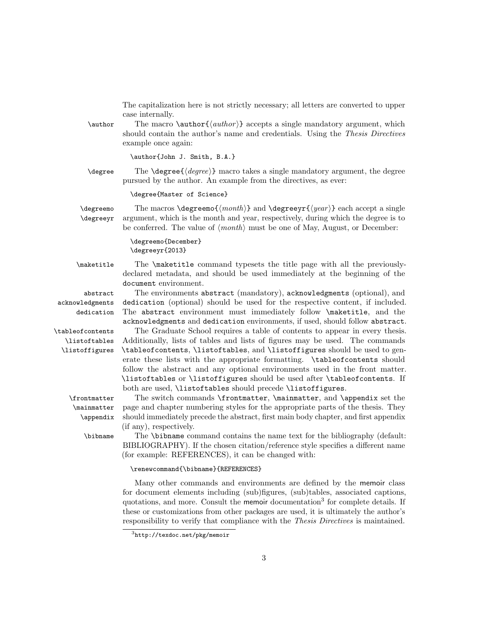The capitalization here is not strictly necessary; all letters are converted to upper case internally.

\author The macro \author  $\{author\}$  accepts a single mandatory argument, which should contain the author's name and credentials. Using the Thesis Directives example once again:

\author{John J. Smith, B.A.}

\degree The \degree{ $\langle degree \rangle$ } macro takes a single mandatory argument, the degree pursued by the author. An example from the directives, as ever:

\degree{Master of Science}

\degreemo The macros \degreemo{ $\{month\}$  and \degreeyr{ $\{year\}$ } each accept a single \degreeyr argument, which is the month and year, respectively, during which the degree is to be conferred. The value of  $\langle month \rangle$  must be one of May, August, or December:

> \degreemo{December} \degreeyr{2013}

\maketitle The \maketitle command typesets the title page with all the previouslydeclared metadata, and should be used immediately at the beginning of the document environment.

acknowledgments dedication

\listoftables \listoffigures

> \mainmatter \appendix

abstract The environments abstract (mandatory), acknowledgments (optional), and dedication (optional) should be used for the respective content, if included. The abstract environment must immediately follow \maketitle, and the acknowledgments and dedication environments, if used, should follow abstract.

\tableofcontents The Graduate School requires a table of contents to appear in every thesis. Additionally, lists of tables and lists of figures may be used. The commands \tableofcontents, \listoftables, and \listoffigures should be used to generate these lists with the appropriate formatting. \tableofcontents should follow the abstract and any optional environments used in the front matter. \listoftables or \listoffigures should be used after \tableofcontents. If both are used, \listoftables should precede \listoffigures.

\frontmatter The switch commands \frontmatter, \mainmatter, and \appendix set the page and chapter numbering styles for the appropriate parts of the thesis. They should immediately precede the abstract, first main body chapter, and first appendix (if any), respectively.

\bibname The \bibname command contains the name text for the bibliography (default: BIBLIOGRAPHY). If the chosen citation/reference style specifies a different name (for example: REFERENCES), it can be changed with:

\renewcommand{\bibname}{REFERENCES}

Many other commands and environments are defined by the memoir class for document elements including (sub)figures, (sub)tables, associated captions, quotations, and more. Consult the memoir documentation<sup>3</sup> for complete details. If these or customizations from other packages are used, it is ultimately the author's responsibility to verify that compliance with the Thesis Directives is maintained.

 $3$ http://texdoc.net/pkg/memoir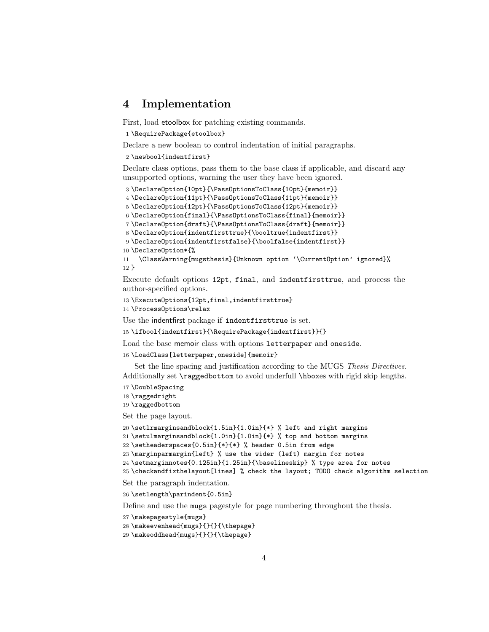## 4 Implementation

First, load etoolbox for patching existing commands.

```
1 \RequirePackage{etoolbox}
```
Declare a new boolean to control indentation of initial paragraphs.

#### \newbool{indentfirst}

Declare class options, pass them to the base class if applicable, and discard any unsupported options, warning the user they have been ignored.

```
3 \DeclareOption{10pt}{\PassOptionsToClass{10pt}{memoir}}
4 \DeclareOption{11pt}{\PassOptionsToClass{11pt}{memoir}}
5 \DeclareOption{12pt}{\PassOptionsToClass{12pt}{memoir}}
6 \DeclareOption{final}{\PassOptionsToClass{final}{memoir}}
7 \DeclareOption{draft}{\PassOptionsToClass{draft}{memoir}}
8 \DeclareOption{indentfirsttrue}{\booltrue{indentfirst}}
9 \DeclareOption{indentfirstfalse}{\boolfalse{indentfirst}}
10 \DeclareOption*{%
11 \ClassWarning{mugsthesis}{Unknown option '\CurrentOption' ignored}%
12 }
```
Execute default options 12pt, final, and indentfirsttrue, and process the author-specified options.

```
13 \ExecuteOptions{12pt,final,indentfirsttrue}
```
\ProcessOptions\relax

Use the indentfirst package if indentfirsttrue is set.

```
15 \ifbool{indentfirst}{\RequirePackage{indentfirst}}{}
```
Load the base memoir class with options letterpaper and oneside.

\LoadClass[letterpaper,oneside]{memoir}

Set the line spacing and justification according to the MUGS Thesis Directives. Additionally set \raggedbottom to avoid underfull \hboxes with rigid skip lengths.

```
17 \DoubleSpacing
```
\raggedright

\raggedbottom

Set the page layout.

```
20 \setlrmarginsandblock{1.5in}{1.0in}{*} % left and right margins
```

```
21 \setulmarginsandblock{1.0in}{1.0in}{*} % top and bottom margins
```

```
22 \setheaderspaces{0.5in}{*}{*} % header 0.5in from edge
```

```
23 \marginparmargin{left} % use the wider (left) margin for notes
```

```
24 \setmarginnotes{0.125in}{1.25in}{\baselineskip} % type area for notes
```

```
25 \checkandfixthelayout[lines] % check the layout; TODO check algorithm selection
```
Set the paragraph indentation.

\setlength\parindent{0.5in}

Define and use the mugs pagestyle for page numbering throughout the thesis.

```
27 \makepagestyle{mugs}
```

```
28 \makeevenhead{mugs}{}{}{\thepage}
```

```
29 \makeoddhead{mugs}{}{}{\thepage}
```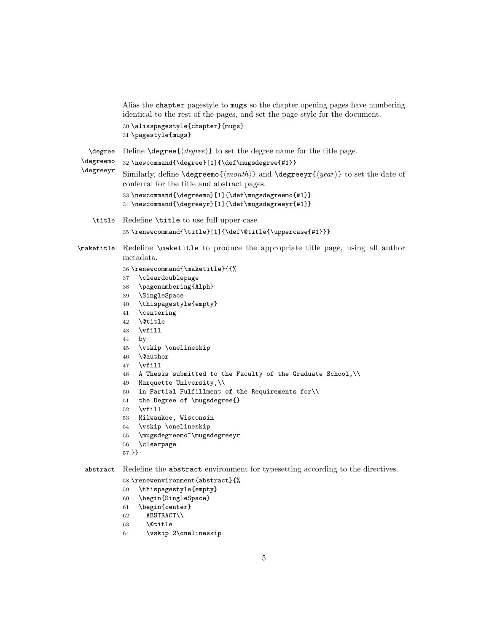|                               | Alias the chapter pagestyle to mugs so the chapter opening pages have numbering<br>identical to the rest of the pages, and set the page style for the document.                                                                                                                                                                                                                                                                                                                                                                                                                                                                                              |  |
|-------------------------------|--------------------------------------------------------------------------------------------------------------------------------------------------------------------------------------------------------------------------------------------------------------------------------------------------------------------------------------------------------------------------------------------------------------------------------------------------------------------------------------------------------------------------------------------------------------------------------------------------------------------------------------------------------------|--|
|                               | 30 \aliaspagestyle{chapter}{mugs}<br>31 \pagestyle{mugs}                                                                                                                                                                                                                                                                                                                                                                                                                                                                                                                                                                                                     |  |
| \degree                       | Define $\degree$ degree $\lbrace \langle \text{degree} \rangle \rbrace$ to set the degree name for the title page.                                                                                                                                                                                                                                                                                                                                                                                                                                                                                                                                           |  |
| \degreemo<br><b>\degreeyr</b> | 32 \newcommand{\degree}[1]{\def\mugsdegree{#1}}<br>Similarly, define \degreemo{ $\{month\}$ } and \degreeyr{ $\{year\}$ } to set the date of<br>conferral for the title and abstract pages.                                                                                                                                                                                                                                                                                                                                                                                                                                                                  |  |
|                               | 33 \newcommand{\degreemo}[1]{\def\mugsdegreemo{#1}}<br>34 \newcommand{\degreeyr}[1]{\def\mugsdegreeyr{#1}}                                                                                                                                                                                                                                                                                                                                                                                                                                                                                                                                                   |  |
| \title                        | Redefine \title to use full upper case.                                                                                                                                                                                                                                                                                                                                                                                                                                                                                                                                                                                                                      |  |
|                               | 35\renewcommand{\title}[1]{\def\@title{\uppercase{#1}}}                                                                                                                                                                                                                                                                                                                                                                                                                                                                                                                                                                                                      |  |
| \maketitle                    | Redefine \maketitle to produce the appropriate title page, using all author<br>metadata.                                                                                                                                                                                                                                                                                                                                                                                                                                                                                                                                                                     |  |
|                               | 36\renewcommand{\maketitle}{{%<br>\cleardoublepage<br>37<br>\pagenumbering{Alph}<br>38<br>\SingleSpace<br>39<br>\thispagestyle{empty}<br>40<br>\centering<br>41<br>\@title<br>42<br>$\forall$ ill<br>43<br>44<br>by<br>\vskip \onelineskip<br>45<br>\@author<br>46<br>\vfill<br>47<br>A Thesis submitted to the Faculty of the Graduate School,\\<br>48<br>Marquette University, $\wedge$<br>49<br>in Partial Fulfillment of the Requirements for $\setminus$<br>50<br>the Degree of \mugsdegree{}<br>51<br>$\forall$ ill<br>52<br>Milwaukee, Wisconsin<br>53<br>\vskip \onelineskip<br>54<br>\mugsdegreemo~\mugsdegreeyr<br>55<br>\clearpage<br>56<br>57 }} |  |
| abstract                      | Redefine the abstract environment for typesetting according to the directives.                                                                                                                                                                                                                                                                                                                                                                                                                                                                                                                                                                               |  |
|                               | 58 \renewenvironment{abstract}{%<br>\thispagestyle{empty}<br>59<br>\begin{SingleSpace}<br>60                                                                                                                                                                                                                                                                                                                                                                                                                                                                                                                                                                 |  |

- \begin{center}
- ABSTRACT\\
- \@title
- \vskip 2\onelineskip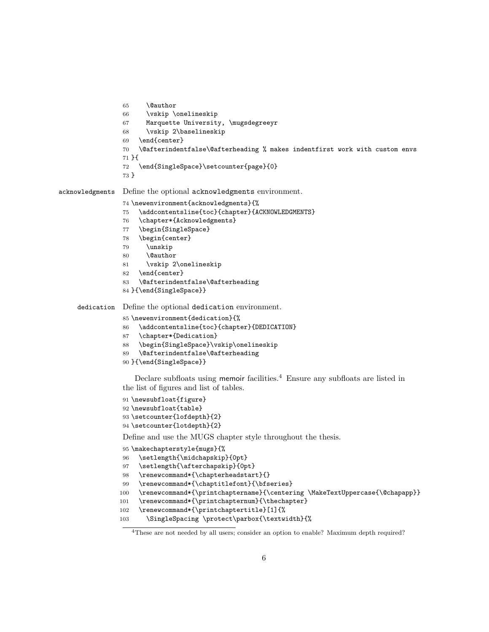```
65 \@author
                 66 \vskip \onelineskip
                 67 Marquette University, \mugsdegreeyr
                 68 \vskip 2\baselineskip
                 69 \end{center}
                 70 \@afterindentfalse\@afterheading % makes indentfirst work with custom envs
                 71 }{
                 72 \end{SingleSpace}\setcounter{page}{0}
                 73 }
acknowledgments Define the optional acknowledgments environment.
                 74 \newenvironment{acknowledgments}{%
                 75 \addcontentsline{toc}{chapter}{ACKNOWLEDGMENTS}
                 76 \chapter*{Acknowledgments}
                 77 \begin{SingleSpace}
                 78 \begin{center}
                 79 \unskip
                 80 \@author
                 81 \vskip 2\onelineskip
                 82 \end{center}
                 83 \@afterindentfalse\@afterheading
                 84 }{\end{SingleSpace}}
    dedication Define the optional dedication environment.
                 85 \newenvironment{dedication}{%
                 86 \addcontentsline{toc}{chapter}{DEDICATION}
                 87 \chapter*{Dedication}
                 88 \begin{SingleSpace}\vskip\onelineskip
                 89 \@afterindentfalse\@afterheading
                 90 }{\end{SingleSpace}}
                    Declare subfloats using memoir facilities.<sup>4</sup> Ensure any subfloats are listed in
                 the list of figures and list of tables.
                 91 \newsubfloat{figure}
                 92 \newsubfloat{table}
                 93 \setcounter{lofdepth}{2}
                 94 \setcounter{lotdepth}{2}
                 Define and use the MUGS chapter style throughout the thesis.
                 95 \makechapterstyle{mugs}{%
                 96 \setlength{\midchapskip}{0pt}
                 97 \setlength{\afterchapskip}{0pt}
                 98 \renewcommand*{\chapterheadstart}{}
```

```
99 \renewcommand*{\chaptitlefont}{\bfseries}
```

```
100 \renewcommand*{\printchaptername}{\centering \MakeTextUppercase{\@chapapp}}
```

```
101 \renewcommand*{\printchapternum}{\thechapter}
```

```
102 \renewcommand*{\printchaptertitle}[1]{%
```

```
103 \SingleSpacing \protect\parbox{\textwidth}{%
```
These are not needed by all users; consider an option to enable? Maximum depth required?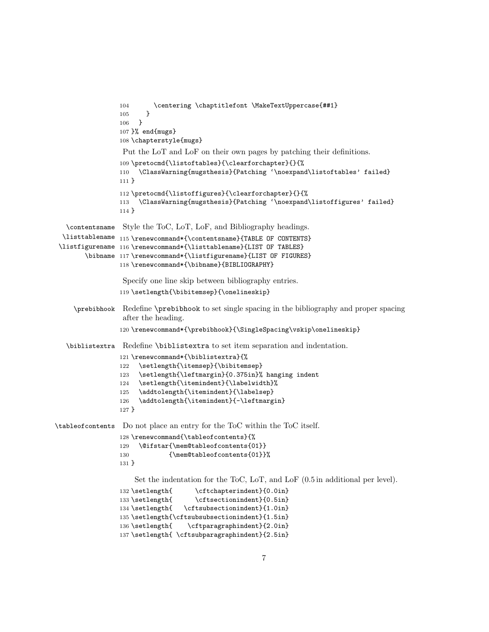```
104 \centering \chaptitlefont \MakeTextUppercase{##1}
                 105 }
                 106 }
                 107 }% end{mugs}
                 108 \chapterstyle{mugs}
                  Put the LoT and LoF on their own pages by patching their definitions.
                 109 \pretocmd{\listoftables}{\clearforchapter}{}{%
                 110 \ClassWarning{mugsthesis}{Patching '\noexpand\listoftables' failed}
                 111 }
                 112 \pretocmd{\listoffigures}{\clearforchapter}{}{%
                 113 \ClassWarning{mugsthesis}{Patching '\noexpand\listoffigures' failed}
                 114 }
   \contentsname
Style the ToC, LoT, LoF, and Bibliography headings.
  \listtablename
115 \renewcommand*{\contentsname}{TABLE OF CONTENTS}
 \listfigurename
116 \renewcommand*{\listtablename}{LIST OF TABLES}
        \bibname
117 \renewcommand*{\listfigurename}{LIST OF FIGURES}
                 118 \renewcommand*{\bibname}{BIBLIOGRAPHY}
                  Specify one line skip between bibliography entries.
                 119 \setlength{\bibitemsep}{\onelineskip}
     \prebibhook Redefine \prebibhook to set single spacing in the bibliography and proper spacing
                  after the heading.
                 120 \renewcommand*{\prebibhook}{\SingleSpacing\vskip\onelineskip}
   \biblistextra Redefine \biblistextra to set item separation and indentation.
                 121 \renewcommand*{\biblistextra}{%
                 122 \setlength{\itemsep}{\bibitemsep}
                 123 \setlength{\leftmargin}{0.375in}% hanging indent
                 124 \setlength{\itemindent}{\labelwidth}%
                 125 \addtolength{\itemindent}{\labelsep}
                 126 \addtolength{\itemindent}{-\leftmargin}
                 127 }
\tableofcontents Do not place an entry for the ToC within the ToC itself.
                 128 \renewcommand{\tableofcontents}{%
                 129 \@ifstar{\mem@tableofcontents{01}}
                 130 {\mem@tableofcontents{01}}%
                 131 }
                     Set the indentation for the ToC, LoT, and LoF (0.5 in additional per level).
                 132 \setlength{ \cftchapterindent}{0.0in}
                 133 \setlength{ \cftsectionindent}{0.5in}
                 134 \setlength{ \cftsubsectionindent}{1.0in}
                 135 \setlength{\cftsubsubsectionindent}{1.5in}
                 136 \setlength{ \cftparagraphindent}{2.0in}
                 137 \setlength{ \cftsubparagraphindent}{2.5in}
```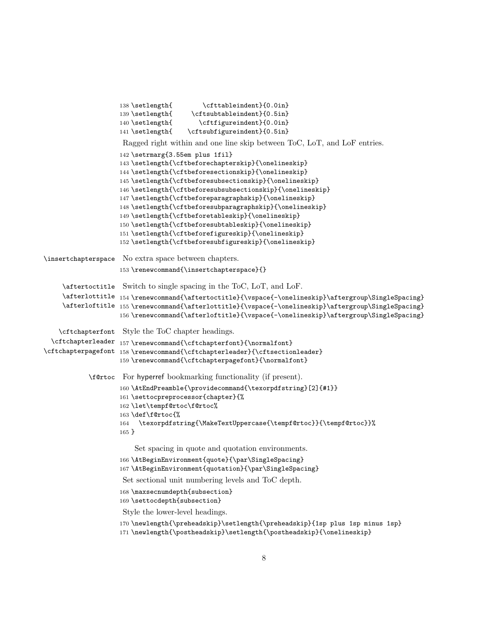```
138 \setlength{ \cfttableindent}{0.0in}
                    139 \setlength{ \cftsubtableindent}{0.5in}
                    140 \setlength{ \cftfigureindent}{0.0in}
                    141 \setlength{ \cftsubfigureindent}{0.5in}
                     Ragged right within and one line skip between ToC, LoT, and LoF entries.
                    142 \setrmarg{3.55em plus 1fil}
                    143 \setlength{\cftbeforechapterskip}{\onelineskip}
                    144 \setlength{\cftbeforesectionskip}{\onelineskip}
                    145 \setlength{\cftbeforesubsectionskip}{\onelineskip}
                    146 \setlength{\cftbeforesubsubsectionskip}{\onelineskip}
                    147 \setlength{\cftbeforeparagraphskip}{\onelineskip}
                    148 \setlength{\cftbeforesubparagraphskip}{\onelineskip}
                    149 \setlength{\cftbeforetableskip}{\onelineskip}
                    150 \setlength{\cftbeforesubtableskip}{\onelineskip}
                    151 \setlength{\cftbeforefigureskip}{\onelineskip}
                    152 \setlength{\cftbeforesubfigureskip}{\onelineskip}
\insertchapterspace No extra space between chapters.
                    153 \renewcommand{\insertchapterspace}{}
     \aftertoctitle
Switch to single spacing in the ToC, LoT, and LoF.
     \afterlottitle
154 \renewcommand{\aftertoctitle}{\vspace{-\onelineskip}\aftergroup\SingleSpacing}
     \afterloftitle
155 \renewcommand{\afterlottitle}{\vspace{-\onelineskip}\aftergroup\SingleSpacing}
                    156 \renewcommand{\afterloftitle}{\vspace{-\onelineskip}\aftergroup\SingleSpacing}
    \cftchapterfont
Style the ToC chapter headings.
  \cftchapterleader 157\renewcommand{\cftchapterfont}{\normalfont}
\cftchapterpagefont 158\renewcommand{\cftchapterleader}{\cftsectionleader}
                    159 \renewcommand{\cftchapterpagefont}{\normalfont}
            \f@rtoc For hyperref bookmarking functionality (if present).
                    160 \AtEndPreamble{\providecommand{\texorpdfstring}[2]{#1}}
                    161 \settocpreprocessor{chapter}{%
                    162 \let\tempf@rtoc\f@rtoc%
                    163 \def\f@rtoc{%
                    164 \texorpdfstring{\MakeTextUppercase{\tempf@rtoc}}{\tempf@rtoc}}%
                    165 }
                        Set spacing in quote and quotation environments.
                    166 \AtBeginEnvironment{quote}{\par\SingleSpacing}
                    167 \AtBeginEnvironment{quotation}{\par\SingleSpacing}
                     Set sectional unit numbering levels and ToC depth.
                    168 \maxsecnumdepth{subsection}
                    169 \settocdepth{subsection}
                     Style the lower-level headings.
                    170 \newlength{\preheadskip}\setlength{\preheadskip}{1sp plus 1sp minus 1sp}
                    171 \newlength{\postheadskip}\setlength{\postheadskip}{\onelineskip}
```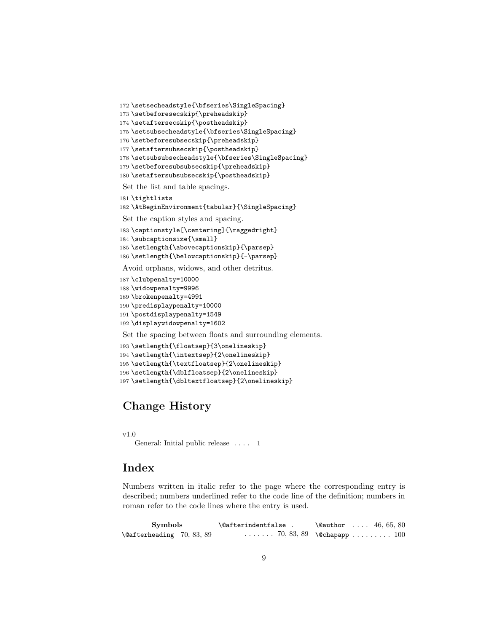```
172 \setsecheadstyle{\bfseries\SingleSpacing}
173 \setbeforesecskip{\preheadskip}
174 \setaftersecskip{\postheadskip}
175 \setsubsecheadstyle{\bfseries\SingleSpacing}
176 \setbeforesubsecskip{\preheadskip}
177 \setaftersubsecskip{\postheadskip}
178 \setsubsubsecheadstyle{\bfseries\SingleSpacing}
179 \setbeforesubsubsecskip{\preheadskip}
180 \setaftersubsubsecskip{\postheadskip}
 Set the list and table spacings.
181 \tightlists
182 \AtBeginEnvironment{tabular}{\SingleSpacing}
 Set the caption styles and spacing.
183 \captionstyle[\centering]{\raggedright}
184 \subcaptionsize{\small}
185 \setlength{\abovecaptionskip}{\parsep}
186 \setlength{\belowcaptionskip}{-\parsep}
Avoid orphans, widows, and other detritus.
187 \clubpenalty=10000
188 \widowpenalty=9996
189 \brokenpenalty=4991
190 \predisplaypenalty=10000
191 \postdisplaypenalty=1549
192 \displaywidowpenalty=1602
 Set the spacing between floats and surrounding elements.
```

```
193 \setlength{\floatsep}{3\onelineskip}
194 \setlength{\intextsep}{2\onelineskip}
195 \setlength{\textfloatsep}{2\onelineskip}
196 \setlength{\dblfloatsep}{2\onelineskip}
197 \setlength{\dbltextfloatsep}{2\onelineskip}
```
# Change History

```
v1.0
```
General: Initial public release . . . . 1

## **Index**

Numbers written in italic refer to the page where the corresponding entry is described; numbers underlined refer to the code line of the definition; numbers in roman refer to the code lines where the entry is used.

| <b>Symbols</b>                      | \@afterindentfalse . | $\text{Quthor} \dots 46, 65, 80$          |
|-------------------------------------|----------------------|-------------------------------------------|
| $\lambda$ 9 afterheading 70, 83, 89 |                      | $\ldots \ldots 70, 83, 89$ \@chapapp  100 |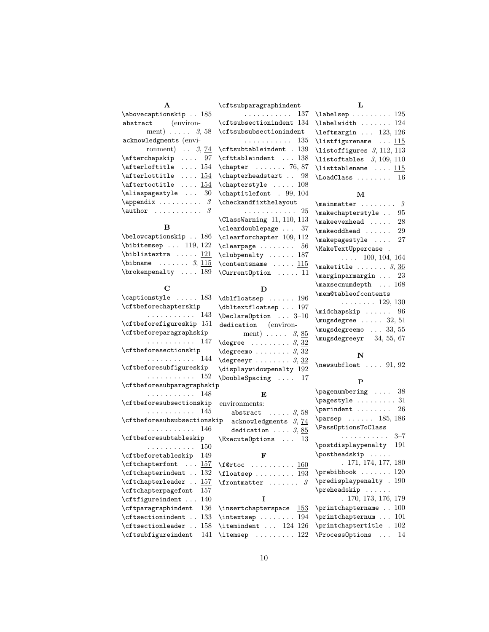| $\mathbf{A}$                                         | \cftsubparagraphindent                                                                                                                                                                                                                                                                                                                                                                                                                                           | L                                                                              |
|------------------------------------------------------|------------------------------------------------------------------------------------------------------------------------------------------------------------------------------------------------------------------------------------------------------------------------------------------------------------------------------------------------------------------------------------------------------------------------------------------------------------------|--------------------------------------------------------------------------------|
|                                                      | \abovecaptionskip $185$ 137 \labelsep  125                                                                                                                                                                                                                                                                                                                                                                                                                       |                                                                                |
| abstract (environ-                                   | \cftsubsectionindent 134                                                                                                                                                                                                                                                                                                                                                                                                                                         | \labelwidth  124                                                               |
|                                                      | ment) $\ldots$ 3, 58 \cftsubsubsectionindent                                                                                                                                                                                                                                                                                                                                                                                                                     | $\left\{\text{tmargin} \dots \quad 123, 126\right\}$                           |
|                                                      | $acknowledgments$ (envi-<br>135                                                                                                                                                                                                                                                                                                                                                                                                                                  | \listfigurename  115                                                           |
|                                                      | ronment) $\ldots$ 3, 74 \cftsubtableindent . 139                                                                                                                                                                                                                                                                                                                                                                                                                 | $\text{listoffigures } 3, 112, 113$                                            |
|                                                      | $\alpha$ fterchapskip  97 \cfttableindent  138                                                                                                                                                                                                                                                                                                                                                                                                                   | $\text{listoftables}$ 3, 109, 110                                              |
| $\setminus$ afterloftitle $154$                      | $\begin{bmatrix} \text{chapter} & \text{if} & \text{if} & \text{if} & \text{if} & \text{if} & \text{if} & \text{if} & \text{if} & \text{if} & \text{if} & \text{if} & \text{if} & \text{if} & \text{if} & \text{if} & \text{if} & \text{if} & \text{if} & \text{if} & \text{if} & \text{if} & \text{if} & \text{if} & \text{if} & \text{if} & \text{if} & \text{if} & \text{if} & \text{if} & \text{if} & \text{if} & \text{if} & \text{if} & \text{if} & \text$ | \listtablename  115                                                            |
|                                                      | $\alpha t$ afterlottitle $154 \ \alpha t$ chapterheadstart  98                                                                                                                                                                                                                                                                                                                                                                                                   | $\Lambda$ 16                                                                   |
|                                                      | \aftertoctitle $\underline{154}$ \chapterstyle $108$                                                                                                                                                                                                                                                                                                                                                                                                             |                                                                                |
|                                                      | $\aliaspagestyle \ldots 30 \chaptilefont . 99, 104$                                                                                                                                                                                                                                                                                                                                                                                                              | M                                                                              |
| $\operatorname{\mathcal{A}}$ 3 \checkandfixthelayout |                                                                                                                                                                                                                                                                                                                                                                                                                                                                  | $\label{eq:main} \verb maintter  \ldots \verb + \ldots \verb + \ldots \verb +$ |
|                                                      |                                                                                                                                                                                                                                                                                                                                                                                                                                                                  | \makechapterstyle  95                                                          |
|                                                      | $\text{ClassWarning}$ 11, 110, 113                                                                                                                                                                                                                                                                                                                                                                                                                               | $\mathcal{S}$ 28                                                               |
| $\bf{B}$                                             | \cleardoublepage  37                                                                                                                                                                                                                                                                                                                                                                                                                                             |                                                                                |
|                                                      | $\belowcaption$ skip  186 \clearforchapter 109, 112                                                                                                                                                                                                                                                                                                                                                                                                              | \makepagestyle  27                                                             |
| $\big\{\n  bitemsep \dots \ 119, 122\n $             | $\text{clearpage} \dots \dots \quad 56$                                                                                                                                                                                                                                                                                                                                                                                                                          | \MakeTextUppercase .                                                           |
| \biblistextra $121$                                  | $\verb+\clubpenalty + \ldots + 187$                                                                                                                                                                                                                                                                                                                                                                                                                              | $\ldots$ 100, 104, 164                                                         |
|                                                      |                                                                                                                                                                                                                                                                                                                                                                                                                                                                  |                                                                                |

# \brokenpenalty .... 189  $\mathbf C$

 $\lambda$  . . . . . . . . 3,  $\underline{115}$ 

|                                 | D                                                                 |  |
|---------------------------------|-------------------------------------------------------------------|--|
| \captionstyle<br>$\ldots$ . 183 | $\delta$ 196                                                      |  |
| \cftbeforechapterskip           | \dbltextfloatsep  197                                             |  |
| . 143                           | $\Delta$ -10                                                      |  |
| \cftbeforefigureskip 151        | dedication (environ-                                              |  |
| \cftbeforeparagraphskip         | ment) $\ldots$ 3, 85                                              |  |
| . 147                           | $\text{degree}$ 3, 32                                             |  |
| \cftbeforesectionskip           | $\texttt{degreemo} \dots \dots 3, \underline{32}$                 |  |
| . 144                           | $\texttt{degreeyr} \dots \dots 3, 32$                             |  |
| \cftbeforesubfigureskip         | \displaywidowpenalty 192                                          |  |
| .<br>152                        | \DoubleSpacing  17                                                |  |
| \cftbeforesubparagraphskip      |                                                                   |  |
| 148<br>.                        | E                                                                 |  |
| \cftbeforesubsectionskip        | environments:                                                     |  |
| 145<br>.                        | abstract $\ldots$ . $3, 58$                                       |  |
| \cftbeforesubsubsectionskip     | acknowledgments 3, 74                                             |  |
| . 146                           | dedication $3, 85$                                                |  |
| \cftbeforesubtableskip          | $\{ExecutorQptions \dots 13$                                      |  |
| . 150                           |                                                                   |  |
| \cftbeforetableskip<br>149      | F                                                                 |  |
| \cftchapterfont<br>157          | $\text{if@rtoc}$ 160                                              |  |
| \cftchapterindent<br>132        | $\theta$ 193                                                      |  |
| \cftchapterleader<br>157        | $\label{eq:1} \verb \frontmatter   \ldots   \ldots   \mathcal{G}$ |  |
| \cftchapterpagefont<br>157      |                                                                   |  |
| \cftfigureindent<br>140         | T                                                                 |  |
| \cftparagraphindent<br>136      | $\infty$ $153$                                                    |  |
| \cftsectionindent<br>133        | $\int \text{extsep}  $<br>194                                     |  |
| \cftsectionleader<br>158        | \itemindent $124-126$                                             |  |
| \cftsubfigureindent<br>141      | \itemsep $122$                                                    |  |
|                                 |                                                                   |  |

# $\setminus$ contentsname .....  $\underline{115}$ \CurrentOption . . . . . 11

| $\text{maketitle}\ \dots\ \ 3,\ \frac{36}{3}$                                                  |
|------------------------------------------------------------------------------------------------|
| $\text{marginparamargin} \dots$ 23                                                             |
| $\max$ secnumdepth  168                                                                        |
| \mem@tableofcontents                                                                           |
| $\ldots \ldots \ldots 129, 130$                                                                |
| $\middle\label{eq:multi-conv}$ $\middle\{ \begin{array}{ccc} \ldots & 96 \end{array} \right\}$ |
| $\m{mugsdegree \ldots 32, 51}$                                                                 |
| \mugsdegreemo  33, 55                                                                          |
| $\mu$ gsdegreeyr 34, 55, 67                                                                    |
|                                                                                                |

#### N

 $\newsubfloat$  ....  $91, 92$ 

### P